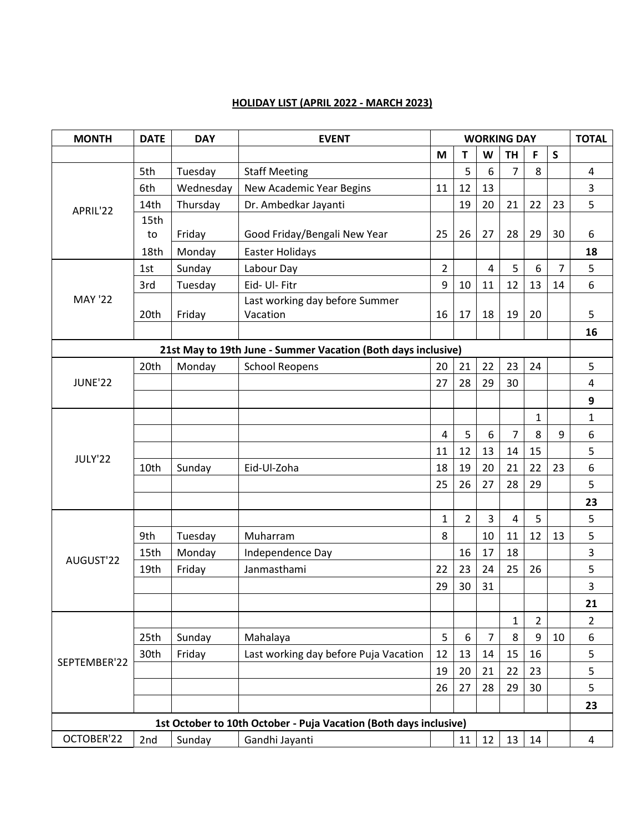## **HOLIDAY LIST (APRIL 2022 - MARCH 2023)**

| <b>MONTH</b>                                                      | <b>DATE</b> | <b>DAY</b> | <b>EVENT</b>                                                  | <b>WORKING DAY</b> |                |                |                |                |                | <b>TOTAL</b>   |
|-------------------------------------------------------------------|-------------|------------|---------------------------------------------------------------|--------------------|----------------|----------------|----------------|----------------|----------------|----------------|
|                                                                   |             |            |                                                               | M                  | T              | W              | <b>TH</b>      | F              | $\mathsf{S}$   |                |
| APRIL'22                                                          | 5th         | Tuesday    | <b>Staff Meeting</b>                                          |                    | 5              | 6              | $\overline{7}$ | 8              |                | 4              |
|                                                                   | 6th         | Wednesday  | New Academic Year Begins                                      | 11                 | 12             | 13             |                |                |                | 3              |
|                                                                   | 14th        | Thursday   | Dr. Ambedkar Jayanti                                          |                    | 19             | 20             | 21             | 22             | 23             | 5              |
|                                                                   | 15th        |            |                                                               |                    |                |                |                |                |                |                |
|                                                                   | to          | Friday     | Good Friday/Bengali New Year                                  | 25                 | 26             | 27             | 28             | 29             | 30             | 6              |
|                                                                   | 18th        | Monday     | Easter Holidays                                               |                    |                |                |                |                |                | 18             |
| <b>MAY '22</b>                                                    | 1st         | Sunday     | Labour Day                                                    | $\overline{2}$     |                | $\overline{4}$ | 5              | 6              | $\overline{7}$ | 5              |
|                                                                   | 3rd         | Tuesday    | Eid- Ul- Fitr                                                 | 9                  | 10             | 11             | 12             | 13             | 14             | 6              |
|                                                                   |             |            | Last working day before Summer                                |                    |                |                |                |                |                |                |
|                                                                   | 20th        | Friday     | Vacation                                                      | 16                 | 17             | 18             | 19             | 20             |                | 5              |
|                                                                   |             |            |                                                               |                    |                |                |                |                |                | 16             |
|                                                                   |             |            | 21st May to 19th June - Summer Vacation (Both days inclusive) |                    |                |                |                |                |                |                |
|                                                                   | 20th        | Monday     | <b>School Reopens</b>                                         | 20                 | 21             | 22             | 23             | 24             |                | 5              |
| <b>JUNE'22</b>                                                    |             |            |                                                               | 27                 | 28             | 29             | 30             |                |                | 4              |
|                                                                   |             |            |                                                               |                    |                |                |                |                |                | 9              |
| JULY'22                                                           |             |            |                                                               |                    |                |                |                | $\mathbf{1}$   |                | 1              |
|                                                                   |             |            |                                                               | $\overline{4}$     | 5              | 6              | $\overline{7}$ | 8              | 9              | 6              |
|                                                                   |             |            |                                                               | 11                 | 12             | 13             | 14             | 15             |                | 5              |
|                                                                   | 10th        | Sunday     | Eid-Ul-Zoha                                                   | 18                 | 19             | 20             | 21             | 22             | 23             | 6              |
|                                                                   |             |            |                                                               | 25                 | 26             | 27             | 28             | 29             |                | 5              |
|                                                                   |             |            |                                                               |                    |                |                |                |                |                | 23             |
| AUGUST'22                                                         |             |            |                                                               | $\mathbf{1}$       | $\overline{2}$ | $\overline{3}$ | $\overline{4}$ | 5              |                | 5              |
|                                                                   | 9th         | Tuesday    | Muharram                                                      | 8                  |                | 10             | 11             | 12             | 13             | 5              |
|                                                                   | 15th        | Monday     | Independence Day                                              |                    | 16             | 17             | 18             |                |                | 3              |
|                                                                   | 19th        | Friday     | Janmasthami                                                   | 22                 | 23             | 24             | 25             | 26             |                | 5              |
|                                                                   |             |            |                                                               | 29                 | 30             | 31             |                |                |                | 3              |
|                                                                   |             |            |                                                               |                    |                |                |                |                |                | 21             |
| SEPTEMBER'22                                                      |             |            |                                                               |                    |                |                | 1              | $\overline{2}$ |                | $\overline{2}$ |
|                                                                   | 25th        | Sunday     | Mahalaya                                                      | 5                  | 6              | $\overline{7}$ | 8              | 9              | 10             | 6              |
|                                                                   |             |            |                                                               |                    |                |                |                |                |                |                |
|                                                                   | 30th        | Friday     | Last working day before Puja Vacation                         | 12                 | 13             | 14             | 15             | 16             |                | 5              |
|                                                                   |             |            |                                                               | 19                 | 20             | 21             | 22             | 23             |                | 5              |
|                                                                   |             |            |                                                               | 26                 | 27             | 28             | 29             | 30             |                | 5              |
|                                                                   |             |            |                                                               |                    |                |                |                |                |                | 23             |
| 1st October to 10th October - Puja Vacation (Both days inclusive) |             |            |                                                               |                    |                |                |                |                |                |                |
| OCTOBER'22                                                        | 2nd         | Sunday     | Gandhi Jayanti                                                |                    | 11             | 12             | 13             | 14             |                | 4              |